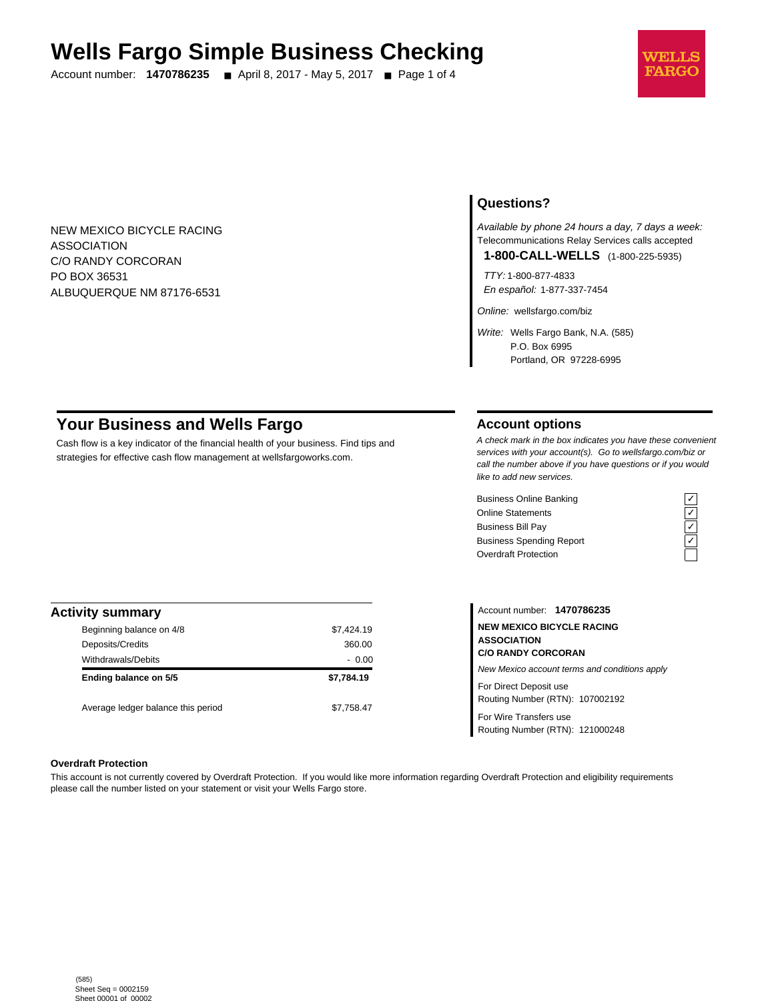# **Wells Fargo Simple Business Checking**

Account number: **1470786235** ■ April 8, 2017 - May 5, 2017 ■ Page 1 of 4



NEW MEXICO BICYCLE RACING ASSOCIATION C/O RANDY CORCORAN PO BOX 36531 ALBUQUERQUE NM 87176-6531

# **Questions?**

Available by phone 24 hours a day, 7 days a week: Telecommunications Relay Services calls accepted

**1-800-CALL-WELLS** (1-800-225-5935)

TTY: 1-800-877-4833 En español: 1-877-337-7454

Online: wellsfargo.com/biz

Write: Wells Fargo Bank, N.A. (585) P.O. Box 6995 Portland, OR 97228-6995

# **Your Business and Wells Fargo**

Cash flow is a key indicator of the financial health of your business. Find tips and strategies for effective cash flow management at wellsfargoworks.com.

# **Account options**

A check mark in the box indicates you have these convenient services with your account(s). Go to wellsfargo.com/biz or call the number above if you have questions or if you would like to add new services.

Business Online Banking<br>
Online Statements<br>
Business Bill Pay<br>
Business Spending Report<br>  $\overline{C}$ <br>
Overdraft Protection<br>  $\overline{C}$ Online Statements Business Bill Pay Business Spending Report Overdraft Protection



| <b>Activity summary</b>            |            |  |  |  |
|------------------------------------|------------|--|--|--|
| Beginning balance on 4/8           | \$7,424.19 |  |  |  |
| Deposits/Credits                   | 360.00     |  |  |  |
| <b>Withdrawals/Debits</b>          | $-0.00$    |  |  |  |
| Ending balance on 5/5              | \$7,784.19 |  |  |  |
| Average ledger balance this period | \$7,758.47 |  |  |  |

Account number: **1470786235 NEW MEXICO BICYCLE RACING ASSOCIATION C/O RANDY CORCORAN** New Mexico account terms and conditions apply For Direct Deposit use Routing Number (RTN): 107002192

For Wire Transfers use Routing Number (RTN): 121000248

#### **Overdraft Protection**

This account is not currently covered by Overdraft Protection. If you would like more information regarding Overdraft Protection and eligibility requirements please call the number listed on your statement or visit your Wells Fargo store.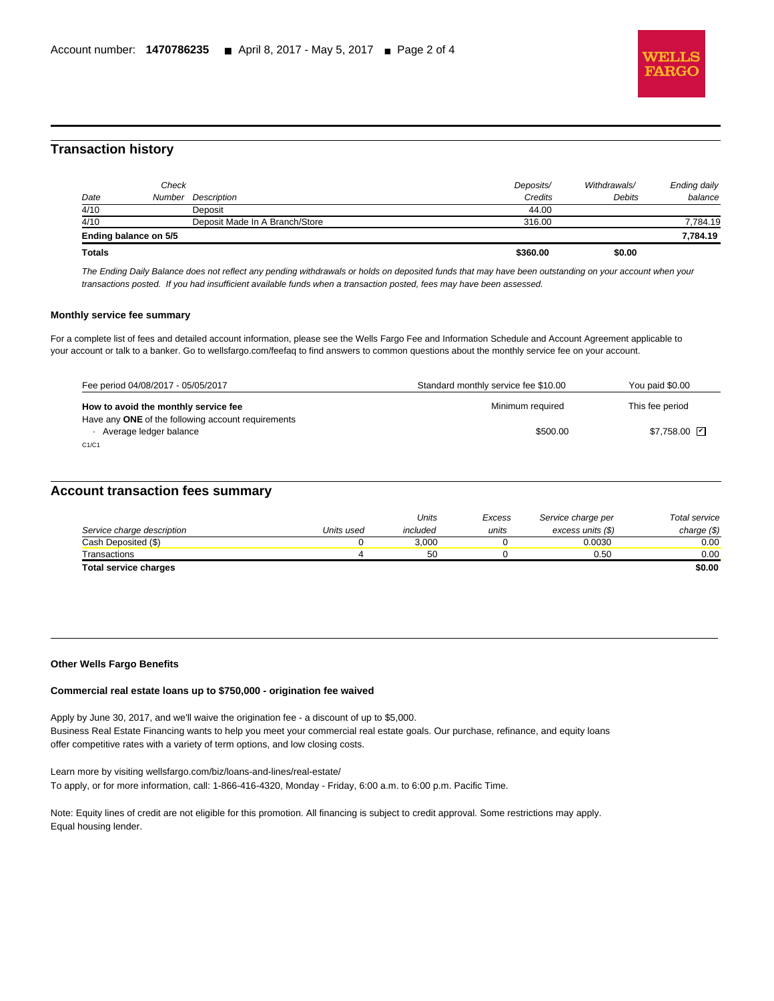

# **Transaction history**

l

|                                          |               | 7.784.19     |
|------------------------------------------|---------------|--------------|
|                                          |               |              |
| Deposit Made In A Branch/Store<br>316.00 |               | 7,784.19     |
| 44.00                                    |               |              |
| Credits                                  | <b>Debits</b> | balance      |
| Deposits/                                | Withdrawals/  | Ending daily |
| Description                              |               |              |

The Ending Daily Balance does not reflect any pending withdrawals or holds on deposited funds that may have been outstanding on your account when your transactions posted. If you had insufficient available funds when a transaction posted, fees may have been assessed.

## **Monthly service fee summary**

For a complete list of fees and detailed account information, please see the Wells Fargo Fee and Information Schedule and Account Agreement applicable to your account or talk to a banker. Go to wellsfargo.com/feefaq to find answers to common questions about the monthly service fee on your account.

| Fee period 04/08/2017 - 05/05/2017                                           | Standard monthly service fee \$10.00 | You paid \$0.00    |
|------------------------------------------------------------------------------|--------------------------------------|--------------------|
| How to avoid the monthly service fee                                         | Minimum required                     | This fee period    |
| Have any ONE of the following account requirements<br>Average ledger balance | \$500.00                             | $$7,758.00$ $\Box$ |
| C1/C1                                                                        |                                      |                    |

# **Account transaction fees summary**

|                            |            | Units    | Excess | Service charge per | Total service |
|----------------------------|------------|----------|--------|--------------------|---------------|
| Service charge description | Units used | included | units  | excess units (\$)  | charge $(\$)$ |
| Cash Deposited (\$)        |            | 3.000    |        | 0.0030             | 0.00          |
| Transactions               |            | 50       |        | 0.50               | 0.00          |
| Total service charges      |            |          |        |                    | \$0.00        |

#### **Other Wells Fargo Benefits**

#### **Commercial real estate loans up to \$750,000 - origination fee waived**

Apply by June 30, 2017, and we'll waive the origination fee - a discount of up to \$5,000. Business Real Estate Financing wants to help you meet your commercial real estate goals. Our purchase, refinance, and equity loans offer competitive rates with a variety of term options, and low closing costs.

Learn more by visiting wellsfargo.com/biz/loans-and-lines/real-estate/ To apply, or for more information, call: 1-866-416-4320, Monday - Friday, 6:00 a.m. to 6:00 p.m. Pacific Time.

Note: Equity lines of credit are not eligible for this promotion. All financing is subject to credit approval. Some restrictions may apply. Equal housing lender.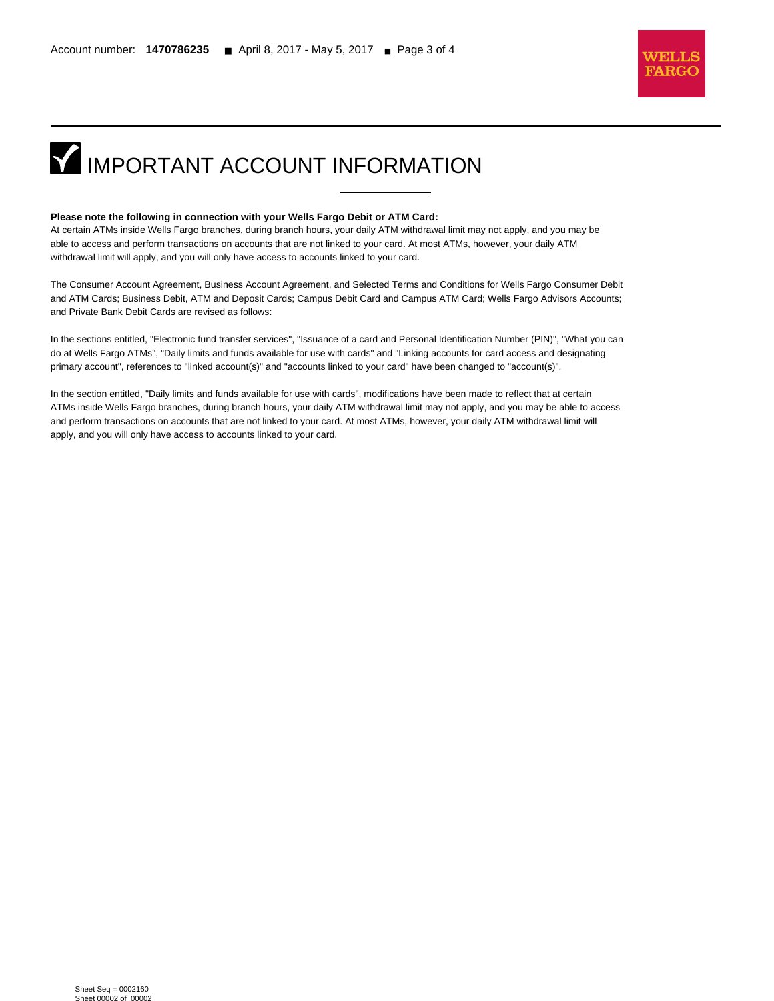

# **IMPORTANT ACCOUNT INFORMATION**

#### **Please note the following in connection with your Wells Fargo Debit or ATM Card:**

l

At certain ATMs inside Wells Fargo branches, during branch hours, your daily ATM withdrawal limit may not apply, and you may be able to access and perform transactions on accounts that are not linked to your card. At most ATMs, however, your daily ATM withdrawal limit will apply, and you will only have access to accounts linked to your card.

The Consumer Account Agreement, Business Account Agreement, and Selected Terms and Conditions for Wells Fargo Consumer Debit and ATM Cards; Business Debit, ATM and Deposit Cards; Campus Debit Card and Campus ATM Card; Wells Fargo Advisors Accounts; and Private Bank Debit Cards are revised as follows:

In the sections entitled, "Electronic fund transfer services", "Issuance of a card and Personal Identification Number (PIN)", "What you can do at Wells Fargo ATMs", "Daily limits and funds available for use with cards" and "Linking accounts for card access and designating primary account", references to "linked account(s)" and "accounts linked to your card" have been changed to "account(s)".

In the section entitled, "Daily limits and funds available for use with cards", modifications have been made to reflect that at certain ATMs inside Wells Fargo branches, during branch hours, your daily ATM withdrawal limit may not apply, and you may be able to access and perform transactions on accounts that are not linked to your card. At most ATMs, however, your daily ATM withdrawal limit will apply, and you will only have access to accounts linked to your card.